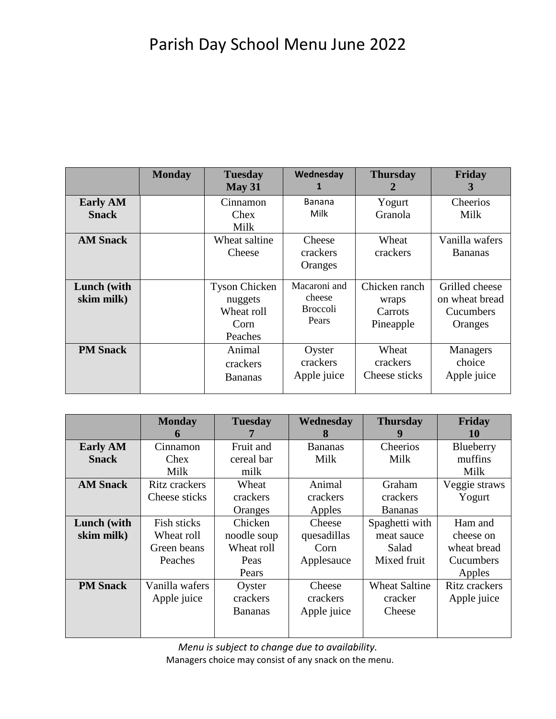## Parish Day School Menu June 2022

|                                                    | <b>Monday</b> | <b>Tuesday</b><br>May 31                                         | Wednesday<br>1                                         | <b>Thursday</b><br>$\mathbf{z}$                | Friday<br>3                                              |
|----------------------------------------------------|---------------|------------------------------------------------------------------|--------------------------------------------------------|------------------------------------------------|----------------------------------------------------------|
| <b>Early AM</b><br><b>Snack</b><br><b>AM Snack</b> |               | Cinnamon<br>Chex<br>Milk<br>Wheat saltine<br>Cheese              | <b>Banana</b><br>Milk<br>Cheese<br>crackers<br>Oranges | Yogurt<br>Granola<br>Wheat<br>crackers         | Cheerios<br>Milk<br>Vanilla wafers<br><b>Bananas</b>     |
| <b>Lunch</b> (with<br>skim milk)                   |               | <b>Tyson Chicken</b><br>nuggets<br>Wheat roll<br>Corn<br>Peaches | Macaroni and<br>cheese<br><b>Broccoli</b><br>Pears     | Chicken ranch<br>wraps<br>Carrots<br>Pineapple | Grilled cheese<br>on wheat bread<br>Cucumbers<br>Oranges |
| <b>PM Snack</b>                                    |               | Animal<br>crackers<br><b>Bananas</b>                             | Oyster<br>crackers<br>Apple juice                      | Wheat<br>crackers<br>Cheese sticks             | Managers<br>choice<br>Apple juice                        |

|                 | <b>Monday</b>        | <b>Tuesday</b> | Wednesday      | <b>Thursday</b>      | Friday        |
|-----------------|----------------------|----------------|----------------|----------------------|---------------|
|                 | 6                    |                | 8              | Y.                   | 10            |
| <b>Early AM</b> | Cinnamon             | Fruit and      | <b>Bananas</b> | Cheerios             | Blueberry     |
| <b>Snack</b>    | Chex                 | cereal bar     | Milk           | Milk                 | muffins       |
|                 | Milk                 | milk           |                |                      | Milk          |
| <b>AM Snack</b> | <b>Ritz crackers</b> | Wheat          | Animal         | Graham               | Veggie straws |
|                 | Cheese sticks        | crackers       | crackers       | crackers             | Yogurt        |
|                 |                      | Oranges        | Apples         | <b>Bananas</b>       |               |
| Lunch (with     | Fish sticks          | Chicken        | Cheese         | Spaghetti with       | Ham and       |
| skim milk)      | Wheat roll           | noodle soup    | quesadillas    | meat sauce           | cheese on     |
|                 | Green beans          | Wheat roll     | Corn           | Salad                | wheat bread   |
|                 | Peaches              | Peas           | Applesauce     | Mixed fruit          | Cucumbers     |
|                 |                      | Pears          |                |                      | Apples        |
| <b>PM Snack</b> | Vanilla wafers       | Oyster         | Cheese         | <b>Wheat Saltine</b> | Ritz crackers |
|                 | Apple juice          | crackers       | crackers       | cracker              | Apple juice   |
|                 |                      | <b>Bananas</b> | Apple juice    | Cheese               |               |
|                 |                      |                |                |                      |               |
|                 |                      |                |                |                      |               |

*Menu is subject to change due to availability.* Managers choice may consist of any snack on the menu.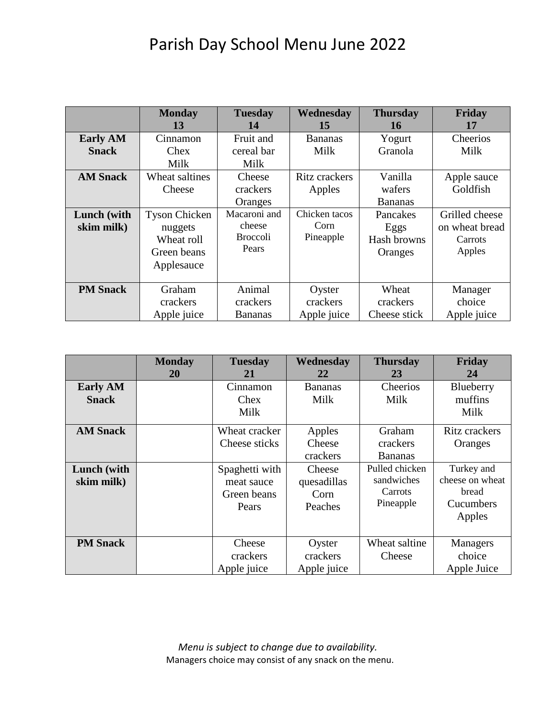## Parish Day School Menu June 2022

|                                 | <b>Monday</b><br>13                                                        | <b>Tuesday</b><br>14                               | Wednesday<br>15                    | <b>Thursday</b><br>16                      | Friday<br>17                                          |
|---------------------------------|----------------------------------------------------------------------------|----------------------------------------------------|------------------------------------|--------------------------------------------|-------------------------------------------------------|
| <b>Early AM</b><br><b>Snack</b> | Cinnamon<br>Chex<br>Milk                                                   | Fruit and<br>cereal bar<br>Milk                    | <b>Bananas</b><br>Milk             | Yogurt<br>Granola                          | Cheerios<br>Milk                                      |
| <b>AM Snack</b>                 | Wheat saltines<br>Cheese                                                   | Cheese<br>crackers<br>Oranges                      | Ritz crackers<br>Apples            | Vanilla<br>wafers<br><b>Bananas</b>        | Apple sauce<br>Goldfish                               |
| Lunch (with<br>skim milk)       | <b>Tyson Chicken</b><br>nuggets<br>Wheat roll<br>Green beans<br>Applesauce | Macaroni and<br>cheese<br><b>Broccoli</b><br>Pears | Chicken tacos<br>Corn<br>Pineapple | Pancakes<br>Eggs<br>Hash browns<br>Oranges | Grilled cheese<br>on wheat bread<br>Carrots<br>Apples |
| <b>PM Snack</b>                 | Graham<br>crackers<br>Apple juice                                          | Animal<br>crackers<br><b>Bananas</b>               | Oyster<br>crackers<br>Apple juice  | Wheat<br>crackers<br>Cheese stick          | Manager<br>choice<br>Apple juice                      |

|                                 | <b>Monday</b><br>20 | <b>Tuesday</b><br>21                                 | Wednesday<br>22                          | <b>Thursday</b><br>23                                | Friday<br>24                                                  |
|---------------------------------|---------------------|------------------------------------------------------|------------------------------------------|------------------------------------------------------|---------------------------------------------------------------|
| <b>Early AM</b><br><b>Snack</b> |                     | Cinnamon<br>Chex<br>Milk                             | <b>Bananas</b><br>Milk                   | Cheerios<br>Milk                                     | Blueberry<br>muffins<br>Milk                                  |
| <b>AM Snack</b>                 |                     | Wheat cracker<br>Cheese sticks                       | Apples<br>Cheese<br>crackers             | Graham<br>crackers<br><b>Bananas</b>                 | Ritz crackers<br>Oranges                                      |
| Lunch (with<br>skim milk)       |                     | Spaghetti with<br>meat sauce<br>Green beans<br>Pears | Cheese<br>quesadillas<br>Corn<br>Peaches | Pulled chicken<br>sandwiches<br>Carrots<br>Pineapple | Turkey and<br>cheese on wheat<br>bread<br>Cucumbers<br>Apples |
| <b>PM Snack</b>                 |                     | Cheese<br>crackers<br>Apple juice                    | Oyster<br>crackers<br>Apple juice        | Wheat saltine<br>Cheese                              | Managers<br>choice<br>Apple Juice                             |

*Menu is subject to change due to availability.* Managers choice may consist of any snack on the menu.